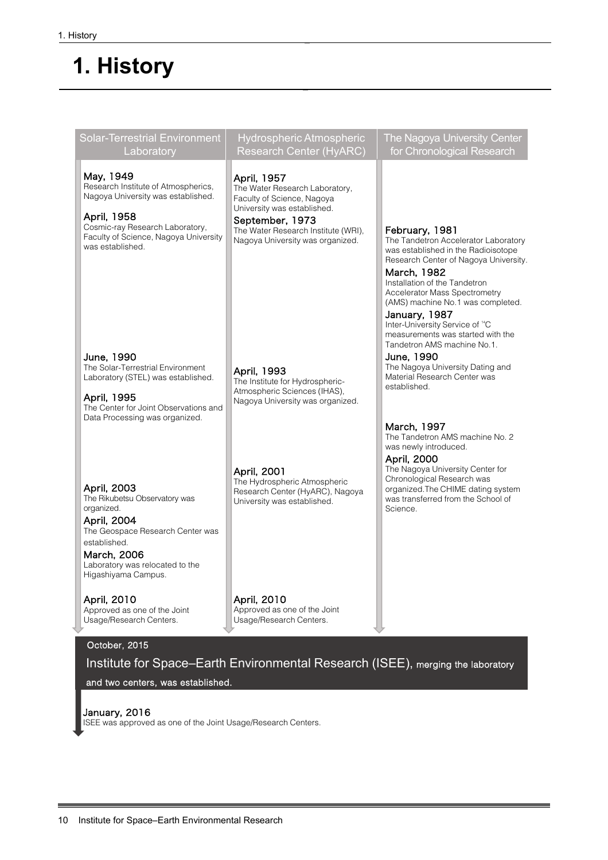# **1. History**

 $\overline{a}$ 

| Solar-Terrestrial Environment<br>Laboratory                                                                                                                                                            | <b>Hydrospheric Atmospheric</b><br><b>Research Center (HyARC)</b>                                                                                                                                        | The Nagoya University Center<br>for Chronological Research                                                                                                                                                                                                                                                                                                                                              |
|--------------------------------------------------------------------------------------------------------------------------------------------------------------------------------------------------------|----------------------------------------------------------------------------------------------------------------------------------------------------------------------------------------------------------|---------------------------------------------------------------------------------------------------------------------------------------------------------------------------------------------------------------------------------------------------------------------------------------------------------------------------------------------------------------------------------------------------------|
| May, 1949<br>Research Institute of Atmospherics,<br>Nagoya University was established.<br>April, 1958<br>Cosmic-ray Research Laboratory,<br>Faculty of Science, Nagoya University<br>was established.  | April, 1957<br>The Water Research Laboratory,<br>Faculty of Science, Nagoya<br>University was established.<br>September, 1973<br>The Water Research Institute (WRI),<br>Nagoya University was organized. | February, 1981<br>The Tandetron Accelerator Laboratory<br>was established in the Radioisotope<br>Research Center of Nagoya University.<br>March, 1982<br>Installation of the Tandetron<br><b>Accelerator Mass Spectrometry</b><br>(AMS) machine No.1 was completed.<br>January, 1987<br>Inter-University Service of <sup>14</sup> C<br>measurements was started with the<br>Tandetron AMS machine No.1. |
| June, 1990<br>The Solar-Terrestrial Environment<br>Laboratory (STEL) was established.<br>April, 1995<br>The Center for Joint Observations and<br>Data Processing was organized.                        | April, 1993<br>The Institute for Hydrospheric-<br>Atmospheric Sciences (IHAS),<br>Nagoya University was organized.                                                                                       | June, 1990<br>The Nagoya University Dating and<br>Material Research Center was<br>established.                                                                                                                                                                                                                                                                                                          |
|                                                                                                                                                                                                        | April, 2001                                                                                                                                                                                              | March, 1997<br>The Tandetron AMS machine No. 2<br>was newly introduced.<br>April, 2000<br>The Nagoya University Center for<br>Chronological Research was                                                                                                                                                                                                                                                |
| April, 2003<br>The Rikubetsu Observatory was<br>organized.<br>April, 2004<br>The Geospace Research Center was<br>established.<br>March, 2006<br>Laboratory was relocated to the<br>Higashiyama Campus. | The Hydrospheric Atmospheric<br>Research Center (HyARC), Nagoya<br>University was established.                                                                                                           | organized. The CHIME dating system<br>was transferred from the School of<br>Science.                                                                                                                                                                                                                                                                                                                    |
| April, 2010<br>Approved as one of the Joint<br>Usage/Research Centers.                                                                                                                                 | April, 2010<br>Approved as one of the Joint<br>Usage/Research Centers.                                                                                                                                   |                                                                                                                                                                                                                                                                                                                                                                                                         |

# October, 2015

Institute for Space–Earth Environmental Research (ISEE), merging the laboratory

and two centers, was established.

January, 2016 ISEE was approved as one of the Joint Usage/Research Centers.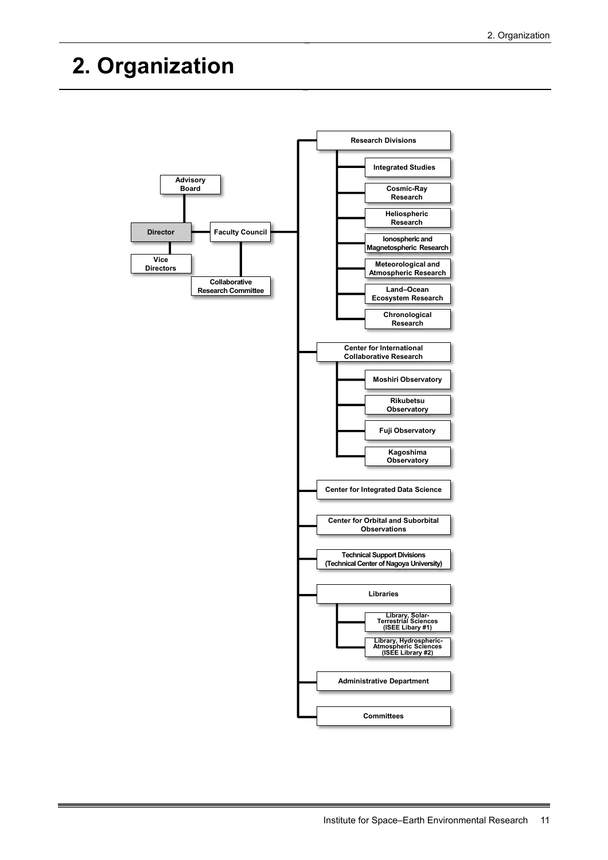# **2. Organization**

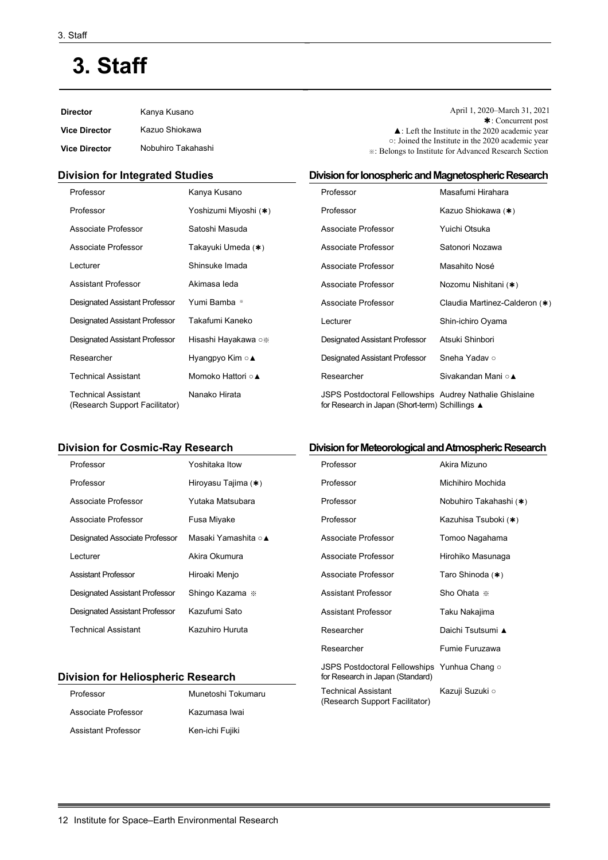# **3. Staff**

| <b>Director</b>      | Kanya Kusano       | April 1, 2020–March 31, 2021<br>$\cdot$ Concurrent post                                                                   |
|----------------------|--------------------|---------------------------------------------------------------------------------------------------------------------------|
| <b>Vice Director</b> | Kazuo Shiokawa     | $\triangle$ : Left the Institute in the 2020 academic year                                                                |
| <b>Vice Director</b> | Nobuhiro Takahashi | ○: Joined the Institute in the 2020 academic year<br><b>EXAMPLE 3: Belongs to Institute for Advanced Research Section</b> |

#### **Division for Integrated Studies**

| Professor                                                    | Kanya Kusano          | Professor                                                                                                         | Masafumi Hirahara             |
|--------------------------------------------------------------|-----------------------|-------------------------------------------------------------------------------------------------------------------|-------------------------------|
| Professor                                                    | Yoshizumi Miyoshi (*) | Professor                                                                                                         | Kazuo Shiokawa (*)            |
| Associate Professor                                          | Satoshi Masuda        | Associate Professor                                                                                               | Yuichi Otsuka                 |
| Associate Professor                                          | Takayuki Umeda (*)    | Associate Professor                                                                                               | Satonori Nozawa               |
| Lecturer                                                     | Shinsuke Imada        | Associate Professor                                                                                               | Masahito Nosé                 |
| <b>Assistant Professor</b>                                   | Akimasa leda          | Associate Professor                                                                                               | Nozomu Nishitani (*)          |
| <b>Designated Assistant Professor</b>                        | Yumi Bamba *          | Associate Professor                                                                                               | Claudia Martinez-Calderon (*) |
| <b>Designated Assistant Professor</b>                        | Takafumi Kaneko       | Lecturer                                                                                                          | Shin-ichiro Oyama             |
| <b>Designated Assistant Professor</b>                        | Hisashi Hayakawa ○※   | Designated Assistant Professor                                                                                    | Atsuki Shinbori               |
| Researcher                                                   | Hyangpyo Kim ○ ▲      | Designated Assistant Professor                                                                                    | Sneha Yadav o                 |
| <b>Technical Assistant</b>                                   | Momoko Hattori ○ ▲    | Researcher                                                                                                        | Sivakandan Mani ○▲            |
| <b>Technical Assistant</b><br>(Research Support Facilitator) | Nanako Hirata         | <b>JSPS Postdoctoral Fellowships Audrey Nathalie Ghislaine</b><br>for Research in Japan (Short-term) Schillings ▲ |                               |

### **Division for Cosmic-Ray Research**

| Professor                             | Yoshitaka Itow      | Professor                  |
|---------------------------------------|---------------------|----------------------------|
| Professor                             | Hiroyasu Tajima (*) | Professor                  |
| Associate Professor                   | Yutaka Matsubara    | Professor                  |
| Associate Professor                   | Fusa Miyake         | Professor                  |
| Designated Associate Professor        | Masaki Yamashita ○▲ | Associate Professo         |
| Lecturer                              | Akira Okumura       | Associate Professo         |
| <b>Assistant Professor</b>            | Hiroaki Menjo       | Associate Professo         |
| <b>Designated Assistant Professor</b> | Shingo Kazama *     | <b>Assistant Professor</b> |
| <b>Designated Assistant Professor</b> | Kazufumi Sato       | <b>Assistant Professor</b> |
| <b>Technical Assistant</b>            | Kazuhiro Huruta     | Researcher                 |

#### **Division for Heliospheric Research**

| Professor           | Munetoshi Tokumaru |
|---------------------|--------------------|
| Associate Professor | Kazumasa Iwai      |
| Assistant Professor | Ken-ichi Fujiki    |

#### **Division for Meteorological and Atmospheric Research**

**Division for Ionospheric and Magnetospheric Research**

| Professor                                                                        | Akira Mizuno           |
|----------------------------------------------------------------------------------|------------------------|
| Professor                                                                        | Michihiro Mochida      |
| Professor                                                                        | Nobuhiro Takahashi (*) |
| Professor                                                                        | Kazuhisa Tsuboki (∗)   |
| Associate Professor                                                              | Tomoo Nagahama         |
| Associate Professor                                                              | Hirohiko Masunaga      |
| Associate Professor                                                              | Taro Shinoda (*)       |
| Assistant Professor                                                              | Sho Ohata *            |
| Assistant Professor                                                              | Taku Nakajima          |
| Researcher                                                                       | Daichi Tsutsumi ▲      |
| Researcher                                                                       | Fumie Furuzawa         |
| JSPS Postdoctoral Fellowships Yunhua Chang o<br>for Research in Japan (Standard) |                        |
| <b>Technical Assistant</b><br>(Research Support Facilitator)                     | Kazuji Suzuki ○        |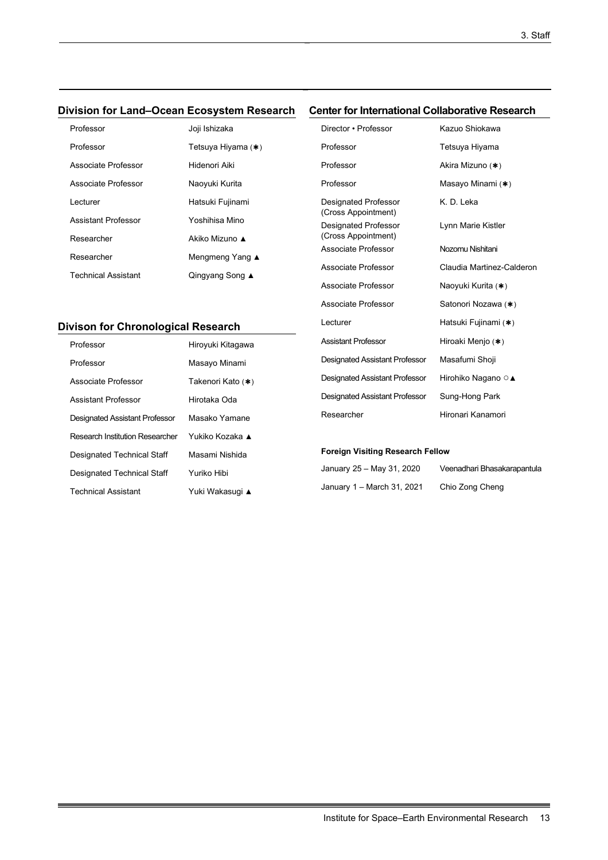### **Division for Land–Ocean Ecosystem Research Center for International Collaborative Research**

| Professor                  | Joji Ishizaka      |
|----------------------------|--------------------|
| Professor                  | Tetsuya Hiyama (∗) |
| Associate Professor        | Hidenori Aiki      |
| Associate Professor        | Naoyuki Kurita     |
| Lecturer                   | Hatsuki Fujinami   |
| Assistant Professor        | Yoshihisa Mino     |
| Researcher                 | Akiko Mizuno ▲     |
| Researcher                 | Mengmeng Yang ▲    |
| <b>Technical Assistant</b> | Qingyang Song ▲    |

# **Divison for Chronological Research**

| Professor                       | Hiroyuki Kitagawa |
|---------------------------------|-------------------|
| Professor                       | Masayo Minami     |
| Associate Professor             | Takenori Kato (*) |
| <b>Assistant Professor</b>      | Hirotaka Oda      |
| Designated Assistant Professor  | Masako Yamane     |
| Research Institution Researcher | Yukiko Kozaka ▲   |
| Designated Technical Staff      | Masami Nishida    |
| Designated Technical Staff      | Yuriko Hibi       |
| <b>Technical Assistant</b>      | Yuki Wakasuqi ▲   |

| GNGLIUL MUGINANUNAI UUNADULANYG INGSGAIGH          |                           |
|----------------------------------------------------|---------------------------|
| Director • Professor                               | Kazuo Shiokawa            |
| Professor                                          | Tetsuya Hiyama            |
| Professor                                          | Akira Mizuno (*)          |
| Professor                                          | Masayo Minami (*)         |
| Designated Professor<br>(Cross Appointment)        | K. D. Leka                |
| <b>Designated Professor</b><br>(Cross Appointment) | Lynn Marie Kistler        |
| Associate Professor                                | Nozomu Nishitani          |
| Associate Professor                                | Claudia Martinez-Calderon |
| Associate Professor                                | Naoyuki Kurita (*)        |
| Associate Professor                                | Satonori Nozawa (*)       |
| Lecturer                                           | Hatsuki Fujinami (*)      |
| <b>Assistant Professor</b>                         | Hiroaki Menjo (*)         |
| Designated Assistant Professor                     | Masafumi Shoji            |
| <b>Designated Assistant Professor</b>              | Hirohiko Nagano ○▲        |
| <b>Designated Assistant Professor</b>              | Sung-Hong Park            |
| Researcher                                         | Hironari Kanamori         |
|                                                    |                           |

#### **Foreign Visiting Research Fellow**

| January 25 – May 31, 2020  |  |
|----------------------------|--|
| January 1 – March 31, 2021 |  |

Veenadhari Bhasakarapantula Chio Zong Cheng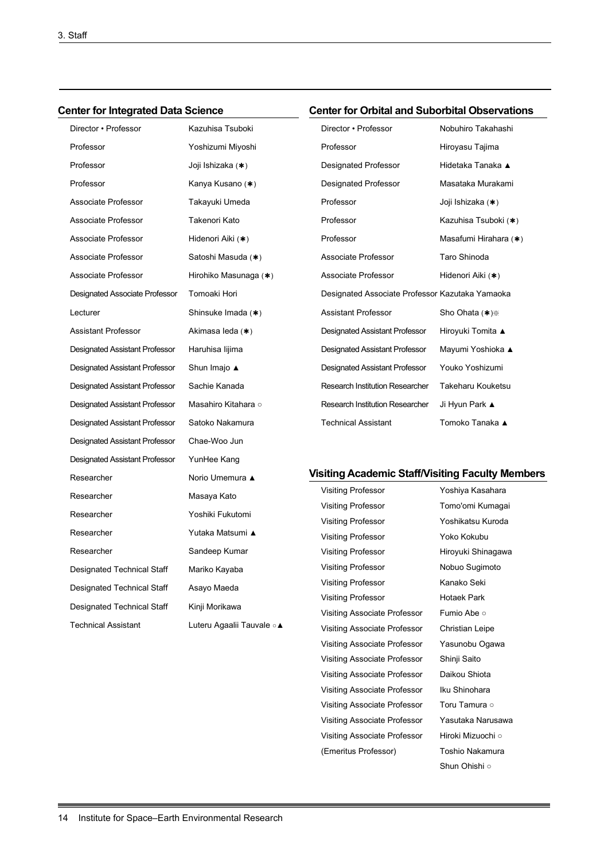### **Center for Integrated Data Science**

# **Center for Orbital and Suborbital Observations**

Visiting Associate Professor Yasunobu Ogawa Visiting Associate Professor Shinji Saito Visiting Associate Professor Daikou Shiota Visiting Associate Professor Iku Shinohara Visiting Associate Professor Toru Tamura o Visiting Associate Professor Yasutaka Narusawa Visiting Associate Professor Hiroki Mizuochi ○ (Emeritus Professor) Toshio Nakamura

Shun Ohishi ○

| Director • Professor                  | Kazuhisa Tsuboki           | Director • Professor                                    | Nobuhiro Takahashi    |
|---------------------------------------|----------------------------|---------------------------------------------------------|-----------------------|
| Professor                             | Yoshizumi Miyoshi          | Professor                                               | Hiroyasu Tajima       |
| Professor                             | Joji Ishizaka ( <b>∗</b> ) | Designated Professor                                    | Hidetaka Tanaka ▲     |
| Professor                             | Kanya Kusano (*)           | Designated Professor                                    | Masataka Murakami     |
| Associate Professor                   | Takayuki Umeda             | Professor                                               | Joji Ishizaka (*)     |
| Associate Professor                   | Takenori Kato              | Professor                                               | Kazuhisa Tsuboki (*)  |
| Associate Professor                   | Hidenori Aiki (∗)          | Professor                                               | Masafumi Hirahara (*) |
| Associate Professor                   | Satoshi Masuda (*)         | Associate Professor                                     | Taro Shinoda          |
| Associate Professor                   | Hirohiko Masunaga (*)      | Associate Professor                                     | Hidenori Aiki (∗)     |
| Designated Associate Professor        | Tomoaki Hori               | Designated Associate Professor Kazutaka Yamaoka         |                       |
| Lecturer                              | Shinsuke Imada (*)         | <b>Assistant Professor</b>                              | Sho Ohata (*) *       |
| <b>Assistant Professor</b>            | Akimasa leda (*)           | <b>Designated Assistant Professor</b>                   | Hiroyuki Tomita ▲     |
| Designated Assistant Professor        | Haruhisa lijima            | <b>Designated Assistant Professor</b>                   | Mayumi Yoshioka ▲     |
| Designated Assistant Professor        | Shun Imajo ▲               | Designated Assistant Professor                          | Youko Yoshizumi       |
| <b>Designated Assistant Professor</b> | Sachie Kanada              | <b>Research Institution Researcher</b>                  | Takeharu Kouketsu     |
| <b>Designated Assistant Professor</b> | Masahiro Kitahara ○        | <b>Research Institution Researcher</b>                  | Ji Hyun Park ▲        |
| <b>Designated Assistant Professor</b> | Satoko Nakamura            | <b>Technical Assistant</b>                              | Tomoko Tanaka ▲       |
| Designated Assistant Professor        | Chae-Woo Jun               |                                                         |                       |
| Designated Assistant Professor        | YunHee Kang                |                                                         |                       |
| Researcher                            | Norio Umemura ▲            | <b>Visiting Academic Staff/Visiting Faculty Members</b> |                       |
| Researcher                            | Masaya Kato                | <b>Visiting Professor</b>                               | Yoshiya Kasahara      |
| Researcher                            | Yoshiki Fukutomi           | <b>Visiting Professor</b>                               | Tomo'omi Kumagai      |
| Researcher                            | Yutaka Matsumi ▲           | <b>Visiting Professor</b>                               | Yoshikatsu Kuroda     |
|                                       |                            | <b>Visiting Professor</b>                               | Yoko Kokubu           |
| Researcher                            | Sandeep Kumar              | <b>Visiting Professor</b>                               | Hiroyuki Shinagawa    |
| Designated Technical Staff            | Mariko Kayaba              | <b>Visiting Professor</b>                               | Nobuo Sugimoto        |
| Designated Technical Staff            | Asayo Maeda                | <b>Visiting Professor</b>                               | Kanako Seki           |
| Designated Technical Staff            | Kinji Morikawa             | <b>Visiting Professor</b>                               | Hotaek Park           |
| Technical Assistant                   | Luteru Agaalii Tauvale ∘ ▲ | Visiting Associate Professor                            | Fumio Abe ○           |
|                                       |                            | Visiting Associate Professor                            | Christian Leipe       |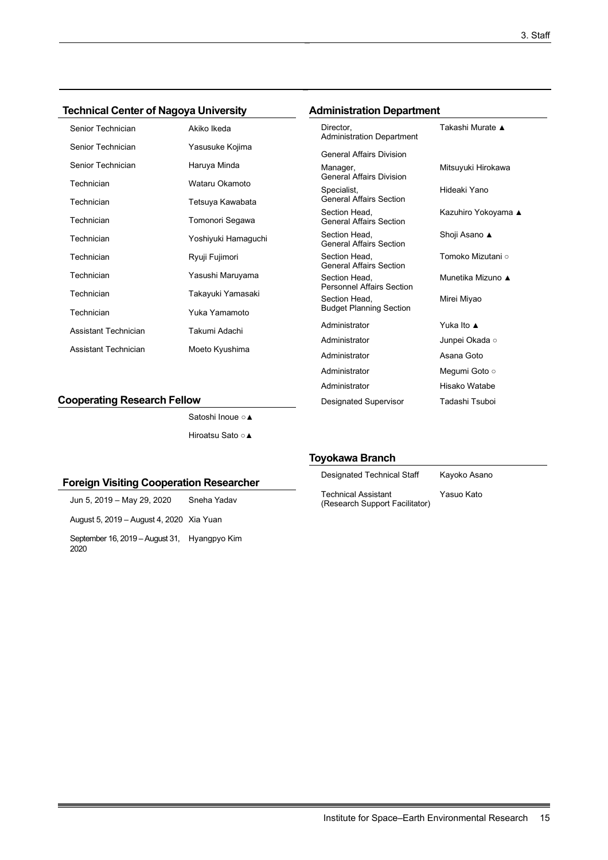# **Technical Center of Nagoya University**

| Senior Technician    | Akiko Ikeda         |
|----------------------|---------------------|
| Senior Technician    | Yasusuke Kojima     |
| Senior Technician    | Haruya Minda        |
| Technician           | Wataru Okamoto      |
| Technician           | Tetsuya Kawabata    |
| Technician           | Tomonori Segawa     |
| Technician           | Yoshiyuki Hamaguchi |
| Technician           | Ryuji Fujimori      |
| Technician           | Yasushi Maruyama    |
| Technician           | Takayuki Yamasaki   |
| Technician           | Yuka Yamamoto       |
| Assistant Technician | Takumi Adachi       |
| Assistant Technician | Moeto Kyushima      |

#### **Cooperating Research Fellow**

Satoshi Inoue ○▲ Hiroatsu Sato ○▲

#### **Foreign Visiting Cooperation Researcher**

Jun 5, 2019 – May 29, 2020 Sneha Yadav August 5, 2019 – August 4, 2020 Xia Yuan September 16, 2019 –August 31, Hyangpyo Kim 2020

#### **Administration Department**

| Director.<br><b>Administration Department</b>     |                            |
|---------------------------------------------------|----------------------------|
| <b>General Affairs Division</b>                   |                            |
| Manager,<br><b>General Affairs Division</b>       | Mitsuyuki Hirokawa         |
| Specialist,<br><b>General Affairs Section</b>     | Hideaki Yano               |
| Section Head,<br><b>General Affairs Section</b>   | Kazuhiro Yokoyama <b>▲</b> |
| Section Head,<br><b>General Affairs Section</b>   | Shoji Asano <b>≜</b>       |
| Section Head.<br><b>General Affairs Section</b>   | Tomoko Mizutani ⊙          |
| Section Head,<br><b>Personnel Affairs Section</b> | Munetika Mizuno ▲          |
| Section Head,<br><b>Budget Planning Section</b>   | Mirei Miyao                |
| Administrator                                     | Yuka Ito ▲                 |
| Administrator                                     | Junpei Okada ○             |
| Administrator                                     | Asana Goto                 |
| Administrator                                     | Mequmi Goto ○              |
| Administrator                                     | Hisako Watabe              |
| Designated Supervisor                             | Tadashi Tsuboi             |

#### **Toyokawa Branch**

| <b>Designated Technical Staff</b>                            | Kayoko Asano |
|--------------------------------------------------------------|--------------|
| <b>Technical Assistant</b><br>(Research Support Facilitator) | Yasuo Kato   |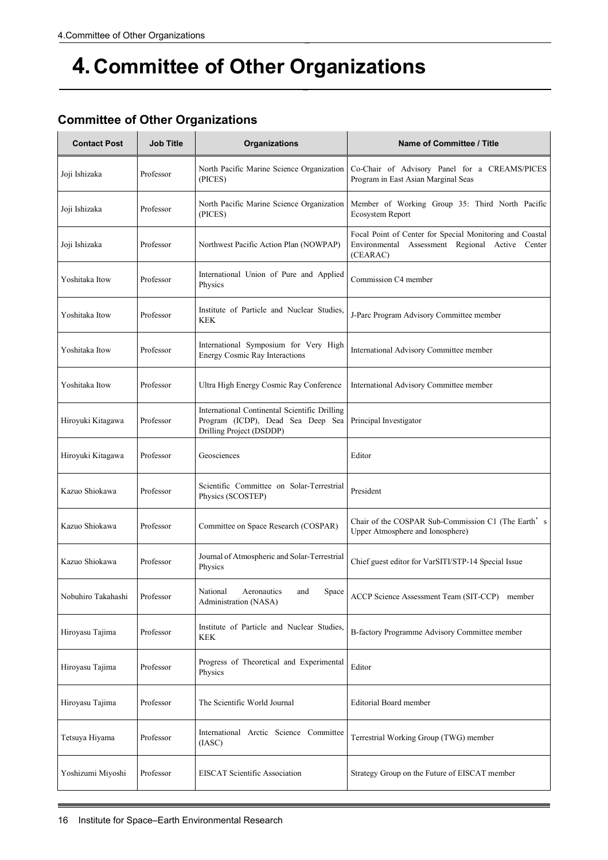# **4.Committee of Other Organizations**

|  |  |  | <b>Committee of Other Organizations</b> |
|--|--|--|-----------------------------------------|
|--|--|--|-----------------------------------------|

| <b>Contact Post</b> | <b>Job Title</b> | Organizations                                                                                                  | Name of Committee / Title                                                                                               |
|---------------------|------------------|----------------------------------------------------------------------------------------------------------------|-------------------------------------------------------------------------------------------------------------------------|
| Joji Ishizaka       | Professor        | North Pacific Marine Science Organization<br>(PICES)                                                           | Co-Chair of Advisory Panel for a CREAMS/PICES<br>Program in East Asian Marginal Seas                                    |
| Joji Ishizaka       | Professor        | North Pacific Marine Science Organization<br>(PICES)                                                           | Member of Working Group 35: Third North Pacific<br>Ecosystem Report                                                     |
| Joji Ishizaka       | Professor        | Northwest Pacific Action Plan (NOWPAP)                                                                         | Focal Point of Center for Special Monitoring and Coastal<br>Environmental Assessment Regional Active Center<br>(CEARAC) |
| Yoshitaka Itow      | Professor        | International Union of Pure and Applied<br>Physics                                                             | Commission C4 member                                                                                                    |
| Yoshitaka Itow      | Professor        | Institute of Particle and Nuclear Studies,<br><b>KEK</b>                                                       | J-Parc Program Advisory Committee member                                                                                |
| Yoshitaka Itow      | Professor        | International Symposium for Very High<br><b>Energy Cosmic Ray Interactions</b>                                 | International Advisory Committee member                                                                                 |
| Yoshitaka Itow      | Professor        | Ultra High Energy Cosmic Ray Conference                                                                        | International Advisory Committee member                                                                                 |
| Hiroyuki Kitagawa   | Professor        | International Continental Scientific Drilling<br>Program (ICDP), Dead Sea Deep Sea<br>Drilling Project (DSDDP) | Principal Investigator                                                                                                  |
| Hiroyuki Kitagawa   | Professor        | Geosciences                                                                                                    | Editor                                                                                                                  |
| Kazuo Shiokawa      | Professor        | Scientific Committee on Solar-Terrestrial<br>Physics (SCOSTEP)                                                 | President                                                                                                               |
| Kazuo Shiokawa      | Professor        | Committee on Space Research (COSPAR)                                                                           | Chair of the COSPAR Sub-Commission C1 (The Earth's<br>Upper Atmosphere and Ionosphere)                                  |
| Kazuo Shiokawa      | Professor        | Journal of Atmospheric and Solar-Terrestrial<br>Physics                                                        | Chief guest editor for VarSITI/STP-14 Special Issue                                                                     |
| Nobuhiro Takahashi  | Professor        | National<br>Aeronautics<br>and<br>Space<br>Administration (NASA)                                               | ACCP Science Assessment Team (SIT-CCP) member                                                                           |
| Hiroyasu Tajima     | Professor        | Institute of Particle and Nuclear Studies,<br><b>KEK</b>                                                       | B-factory Programme Advisory Committee member                                                                           |
| Hiroyasu Tajima     | Professor        | Progress of Theoretical and Experimental<br>Physics                                                            | Editor                                                                                                                  |
| Hiroyasu Tajima     | Professor        | The Scientific World Journal                                                                                   | <b>Editorial Board member</b>                                                                                           |
| Tetsuya Hiyama      | Professor        | International Arctic Science Committee<br>(IASC)                                                               | Terrestrial Working Group (TWG) member                                                                                  |
| Yoshizumi Miyoshi   | Professor        | <b>EISCAT Scientific Association</b>                                                                           | Strategy Group on the Future of EISCAT member                                                                           |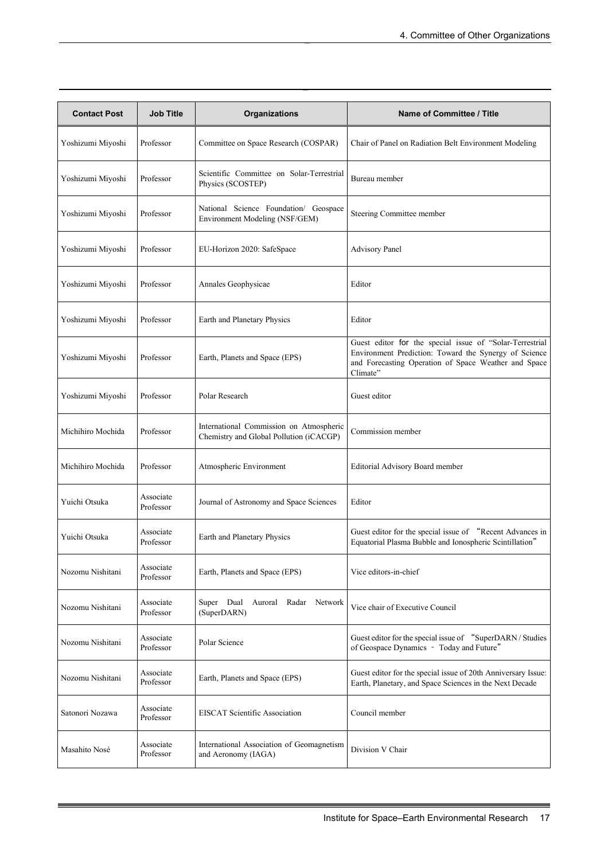| <b>Contact Post</b> | <b>Job Title</b>       | Organizations                                                                      | <b>Name of Committee / Title</b>                                                                                                                                                      |
|---------------------|------------------------|------------------------------------------------------------------------------------|---------------------------------------------------------------------------------------------------------------------------------------------------------------------------------------|
| Yoshizumi Miyoshi   | Professor              | Committee on Space Research (COSPAR)                                               | Chair of Panel on Radiation Belt Environment Modeling                                                                                                                                 |
| Yoshizumi Miyoshi   | Professor              | Scientific Committee on Solar-Terrestrial<br>Physics (SCOSTEP)                     | Bureau member                                                                                                                                                                         |
| Yoshizumi Miyoshi   | Professor              | National Science Foundation/ Geospace<br>Environment Modeling (NSF/GEM)            | Steering Committee member                                                                                                                                                             |
| Yoshizumi Miyoshi   | Professor              | EU-Horizon 2020: SafeSpace                                                         | <b>Advisory Panel</b>                                                                                                                                                                 |
| Yoshizumi Miyoshi   | Professor              | Annales Geophysicae                                                                | Editor                                                                                                                                                                                |
| Yoshizumi Miyoshi   | Professor              | Earth and Planetary Physics                                                        | Editor                                                                                                                                                                                |
| Yoshizumi Miyoshi   | Professor              | Earth, Planets and Space (EPS)                                                     | Guest editor for the special issue of "Solar-Terrestrial<br>Environment Prediction: Toward the Synergy of Science<br>and Forecasting Operation of Space Weather and Space<br>Climate" |
| Yoshizumi Miyoshi   | Professor              | Polar Research                                                                     | Guest editor                                                                                                                                                                          |
| Michihiro Mochida   | Professor              | International Commission on Atmospheric<br>Chemistry and Global Pollution (iCACGP) | Commission member                                                                                                                                                                     |
| Michihiro Mochida   | Professor              | Atmospheric Environment                                                            | <b>Editorial Advisory Board member</b>                                                                                                                                                |
| Yuichi Otsuka       | Associate<br>Professor | Journal of Astronomy and Space Sciences                                            | Editor                                                                                                                                                                                |
| Yuichi Otsuka       | Associate<br>Professor | Earth and Planetary Physics                                                        | Guest editor for the special issue of "Recent Advances in<br>Equatorial Plasma Bubble and Ionospheric Scintillation"                                                                  |
| Nozomu Nishitani    | Associate<br>Professor | Earth, Planets and Space (EPS)                                                     | Vice editors-in-chief                                                                                                                                                                 |
| Nozomu Nishitani    | Associate<br>Professor | Super Dual Auroral Radar<br>Network<br>(SuperDARN)                                 | Vice chair of Executive Council                                                                                                                                                       |
| Nozomu Nishitani    | Associate<br>Professor | Polar Science                                                                      | Guest editor for the special issue of "SuperDARN / Studies<br>of Geospace Dynamics - Today and Future"                                                                                |
| Nozomu Nishitani    | Associate<br>Professor | Earth, Planets and Space (EPS)                                                     | Guest editor for the special issue of 20th Anniversary Issue:<br>Earth, Planetary, and Space Sciences in the Next Decade                                                              |
| Satonori Nozawa     | Associate<br>Professor | <b>EISCAT Scientific Association</b>                                               | Council member                                                                                                                                                                        |
| Masahito Nosé       | Associate<br>Professor | International Association of Geomagnetism<br>and Aeronomy (IAGA)                   | Division V Chair                                                                                                                                                                      |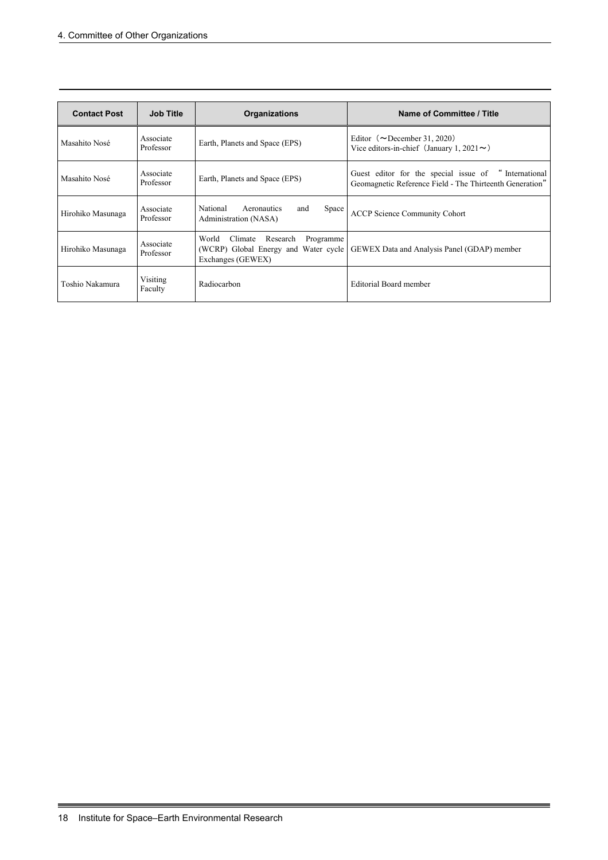| <b>Contact Post</b> | <b>Job Title</b>       | <b>Organizations</b>                                                                                   | Name of Committee / Title                                                                                        |
|---------------------|------------------------|--------------------------------------------------------------------------------------------------------|------------------------------------------------------------------------------------------------------------------|
| Masahito Nosé       | Associate<br>Professor | Earth, Planets and Space (EPS)                                                                         | Editor ( $\sim$ December 31, 2020)<br>Vice editors-in-chief (January 1, 2021 $\sim$ )                            |
| Masahito Nosé       | Associate<br>Professor | Earth, Planets and Space (EPS)                                                                         | Guest editor for the special issue of "International<br>Geomagnetic Reference Field - The Thirteenth Generation" |
| Hirohiko Masunaga   | Associate<br>Professor | National<br>Aeronautics<br>and<br>Space<br>Administration (NASA)                                       | <b>ACCP Science Community Cohort</b>                                                                             |
| Hirohiko Masunaga   | Associate<br>Professor | World<br>Climate<br>Programme<br>Research<br>(WCRP) Global Energy and Water cycle<br>Exchanges (GEWEX) | GEWEX Data and Analysis Panel (GDAP) member                                                                      |
| Toshio Nakamura     | Visiting<br>Faculty    | Radiocarbon                                                                                            | Editorial Board member                                                                                           |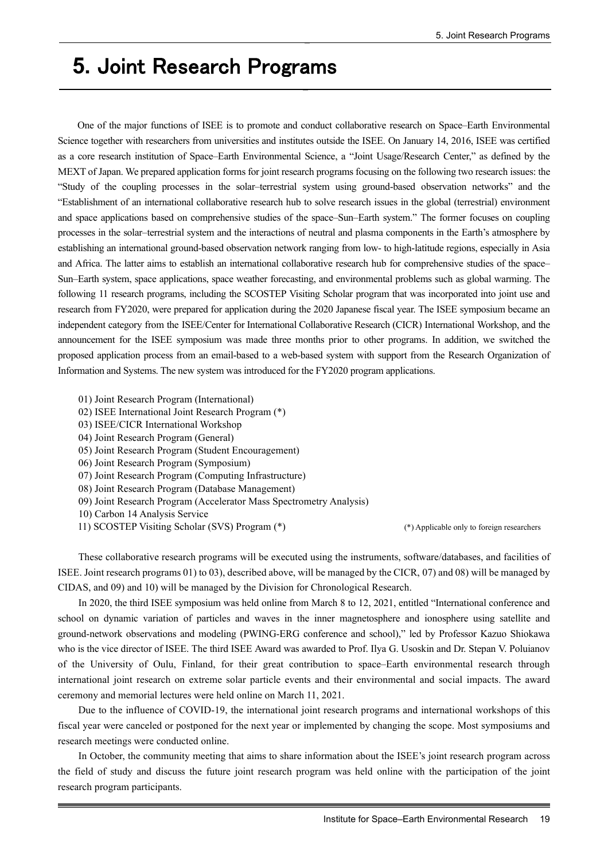# **5.** Joint Research Programs

One of the major functions of ISEE is to promote and conduct collaborative research on Space–Earth Environmental Science together with researchers from universities and institutes outside the ISEE. On January 14, 2016, ISEE was certified as a core research institution of Space–Earth Environmental Science, a "Joint Usage/Research Center," as defined by the MEXT of Japan. We prepared application forms for joint research programs focusing on the following two research issues: the "Study of the coupling processes in the solar–terrestrial system using ground-based observation networks" and the "Establishment of an international collaborative research hub to solve research issues in the global (terrestrial) environment and space applications based on comprehensive studies of the space–Sun–Earth system." The former focuses on coupling processes in the solar–terrestrial system and the interactions of neutral and plasma components in the Earth's atmosphere by establishing an international ground-based observation network ranging from low- to high-latitude regions, especially in Asia and Africa. The latter aims to establish an international collaborative research hub for comprehensive studies of the space– Sun–Earth system, space applications, space weather forecasting, and environmental problems such as global warming. The following 11 research programs, including the SCOSTEP Visiting Scholar program that was incorporated into joint use and research from FY2020, were prepared for application during the 2020 Japanese fiscal year. The ISEE symposium became an independent category from the ISEE/Center for International Collaborative Research (CICR) International Workshop, and the announcement for the ISEE symposium was made three months prior to other programs. In addition, we switched the proposed application process from an email-based to a web-based system with support from the Research Organization of Information and Systems. The new system was introduced for the FY2020 program applications.

- 01) Joint Research Program (International)
- 02) ISEE International Joint Research Program (\*)
- 03) ISEE/CICR International Workshop
- 04) Joint Research Program (General)
- 05) Joint Research Program (Student Encouragement)
- 06) Joint Research Program (Symposium)
- 07) Joint Research Program (Computing Infrastructure)
- 08) Joint Research Program (Database Management)
- 09) Joint Research Program (Accelerator Mass Spectrometry Analysis)
- 10) Carbon 14 Analysis Service
- 11) SCOSTEP Visiting Scholar (SVS) Program (\*) (\*) Applicable only to foreign researchers

These collaborative research programs will be executed using the instruments, software/databases, and facilities of ISEE. Joint research programs 01) to 03), described above, will be managed by the CICR, 07) and 08) will be managed by CIDAS, and 09) and 10) will be managed by the Division for Chronological Research.

In 2020, the third ISEE symposium was held online from March 8 to 12, 2021, entitled "International conference and school on dynamic variation of particles and waves in the inner magnetosphere and ionosphere using satellite and ground-network observations and modeling (PWING-ERG conference and school)," led by Professor Kazuo Shiokawa who is the vice director of ISEE. The third ISEE Award was awarded to Prof. Ilya G. Usoskin and Dr. Stepan V. Poluianov of the University of Oulu, Finland, for their great contribution to space–Earth environmental research through international joint research on extreme solar particle events and their environmental and social impacts. The award ceremony and memorial lectures were held online on March 11, 2021.

Due to the influence of COVID-19, the international joint research programs and international workshops of this fiscal year were canceled or postponed for the next year or implemented by changing the scope. Most symposiums and research meetings were conducted online.

In October, the community meeting that aims to share information about the ISEE's joint research program across the field of study and discuss the future joint research program was held online with the participation of the joint research program participants.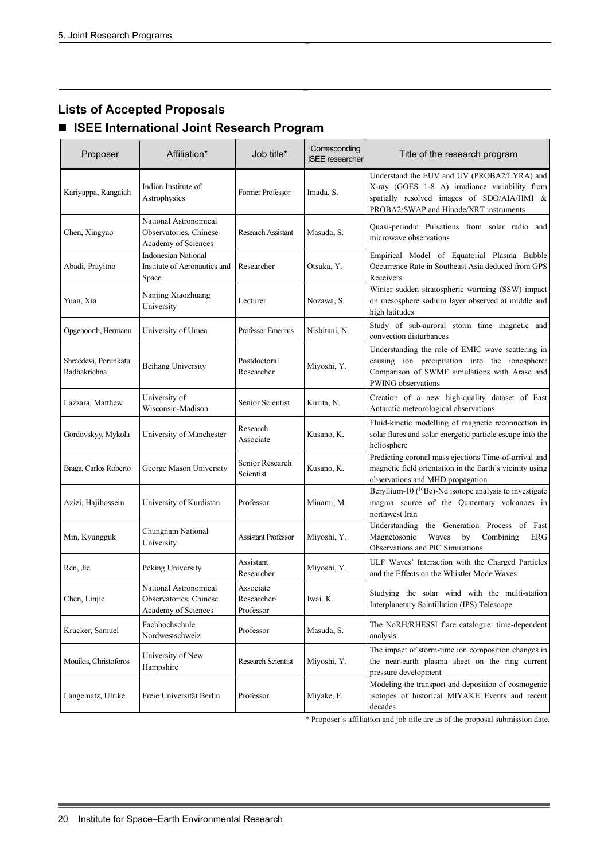# **Lists of Accepted Proposals**

# **ISEE International Joint Research Program**

| Proposer                             | Affiliation*                                                           | Job title*                            | Corresponding<br><b>ISEE</b> researcher | Title of the research program                                                                                                                                                         |
|--------------------------------------|------------------------------------------------------------------------|---------------------------------------|-----------------------------------------|---------------------------------------------------------------------------------------------------------------------------------------------------------------------------------------|
| Kariyappa, Rangaiah                  | Indian Institute of<br>Astrophysics                                    | Former Professor                      | Imada, S.                               | Understand the EUV and UV (PROBA2/LYRA) and<br>X-ray (GOES 1-8 A) irradiance variability from<br>spatially resolved images of SDO/AIA/HMI &<br>PROBA2/SWAP and Hinode/XRT instruments |
| Chen, Xingyao                        | National Astronomical<br>Observatories, Chinese<br>Academy of Sciences | Research Assistant                    | Masuda, S.                              | Quasi-periodic Pulsations from solar radio and<br>microwave observations                                                                                                              |
| Abadi, Prayitno                      | <b>Indonesian National</b><br>Institute of Aeronautics and<br>Space    | Researcher                            | Otsuka, Y.                              | Empirical Model of Equatorial Plasma Bubble<br>Occurrence Rate in Southeast Asia deduced from GPS<br>Receivers                                                                        |
| Yuan, Xia                            | Nanjing Xiaozhuang<br>University                                       | Lecturer                              | Nozawa, S.                              | Winter sudden stratospheric warming (SSW) impact<br>on mesosphere sodium layer observed at middle and<br>high latitudes                                                               |
| Opgenoorth, Hermann                  | University of Umea                                                     | Professor Emeritus                    | Nishitani, N.                           | Study of sub-auroral storm time magnetic and<br>convection disturbances                                                                                                               |
| Shreedevi, Porunkatu<br>Radhakrichna | <b>Beihang University</b>                                              | Postdoctoral<br>Researcher            | Miyoshi, Y.                             | Understanding the role of EMIC wave scattering in<br>causing ion precipitation into the ionosphere:<br>Comparison of SWMF simulations with Arase and<br>PWING observations            |
| Lazzara, Matthew                     | University of<br>Wisconsin-Madison                                     | Senior Scientist                      | Kurita, N.                              | Creation of a new high-quality dataset of East<br>Antarctic meteorological observations                                                                                               |
| Gordovskyy, Mykola                   | University of Manchester                                               | Research<br>Associate                 | Kusano, K.                              | Fluid-kinetic modelling of magnetic reconnection in<br>solar flares and solar energetic particle escape into the<br>heliosphere                                                       |
| Braga, Carlos Roberto                | George Mason University                                                | Senior Research<br>Scientist          | Kusano, K.                              | Predicting coronal mass ejections Time-of-arrival and<br>magnetic field orientation in the Earth's vicinity using<br>observations and MHD propagation                                 |
| Azizi, Hajihossein                   | University of Kurdistan                                                | Professor                             | Minami, M.                              | Beryllium-10 ( <sup>10</sup> Be)-Nd isotope analysis to investigate<br>magma source of the Quaternary volcanoes in<br>northwest Iran                                                  |
| Min, Kyungguk                        | Chungnam National<br>University                                        | <b>Assistant Professor</b>            | Miyoshi, Y.                             | Understanding the Generation Process of Fast<br>Magnetosonic<br>Waves<br>by<br>Combining<br>ERG<br>Observations and PIC Simulations                                                   |
| Ren, Jie                             | Peking University                                                      | Assistant<br>Researcher               | Miyoshi, Y.                             | ULF Waves' Interaction with the Charged Particles<br>and the Effects on the Whistler Mode Waves                                                                                       |
| Chen, Linjie                         | National Astronomical<br>Observatories, Chinese<br>Academy of Sciences | Associate<br>Researcher/<br>Professor | Iwai. K.                                | Studying the solar wind with the multi-station<br>Interplanetary Scintillation (IPS) Telescope                                                                                        |
| Krucker, Samuel                      | Fachhochschule<br>Nordwestschweiz                                      | Professor                             | Masuda, S.                              | The NoRH/RHESSI flare catalogue: time-dependent<br>analysis                                                                                                                           |
| Mouikis, Christoforos                | University of New<br>Hampshire                                         | Research Scientist                    | Miyoshi, Y.                             | The impact of storm-time ion composition changes in<br>the near-earth plasma sheet on the ring current<br>pressure development                                                        |
| Langematz, Ulrike                    | Freie Universität Berlin                                               | Professor                             | Miyake, F.                              | Modeling the transport and deposition of cosmogenic<br>isotopes of historical MIYAKE Events and recent<br>decades                                                                     |

\* Proposer's affiliation and job title are as of the proposal submission date.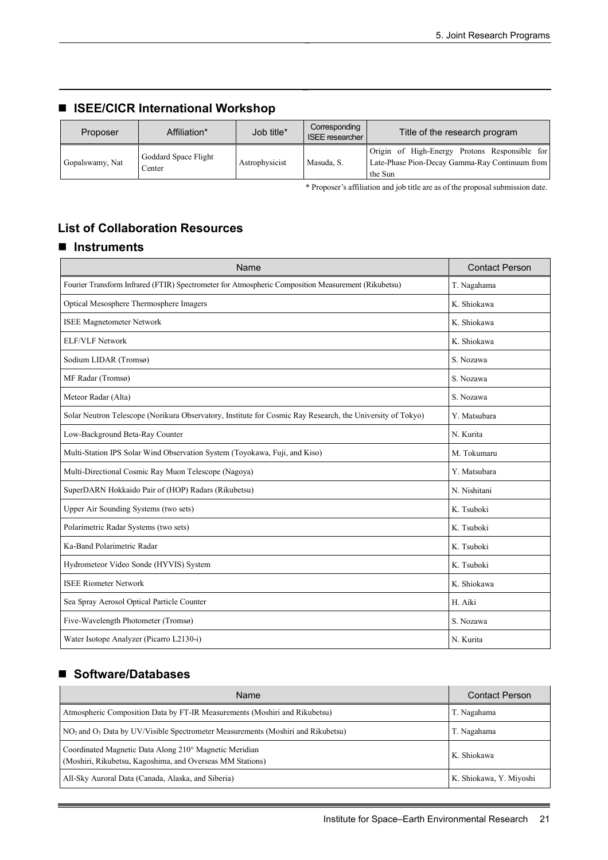# ■ **ISEE/CICR International Workshop**

| Proposer        | Affiliation*                   | Job title*     | Corresponding<br><b>ISEE</b> researcher | Title of the research program                                                                              |
|-----------------|--------------------------------|----------------|-----------------------------------------|------------------------------------------------------------------------------------------------------------|
| Gopalswamy, Nat | Goddard Space Flight<br>Center | Astrophysicist | Masuda, S.                              | Origin of High-Energy Protons Responsible for<br>Late-Phase Pion-Decay Gamma-Ray Continuum from<br>the Sun |

\* Proposer's affiliation and job title are as of the proposal submission date.

# **List of Collaboration Resources**

### **Instruments**

| Name                                                                                                       | <b>Contact Person</b> |
|------------------------------------------------------------------------------------------------------------|-----------------------|
| Fourier Transform Infrared (FTIR) Spectrometer for Atmospheric Composition Measurement (Rikubetsu)         | T. Nagahama           |
| Optical Mesosphere Thermosphere Imagers                                                                    | K. Shiokawa           |
| <b>ISEE Magnetometer Network</b>                                                                           | K. Shiokawa           |
| <b>ELF/VLF Network</b>                                                                                     | K. Shiokawa           |
| Sodium LIDAR (Tromsø)                                                                                      | S. Nozawa             |
| MF Radar (Tromsø)                                                                                          | S. Nozawa             |
| Meteor Radar (Alta)                                                                                        | S. Nozawa             |
| Solar Neutron Telescope (Norikura Observatory, Institute for Cosmic Ray Research, the University of Tokyo) | Y. Matsubara          |
| Low-Background Beta-Ray Counter                                                                            | N. Kurita             |
| Multi-Station IPS Solar Wind Observation System (Toyokawa, Fuji, and Kiso)                                 | M. Tokumaru           |
| Multi-Directional Cosmic Ray Muon Telescope (Nagoya)                                                       | Y. Matsubara          |
| SuperDARN Hokkaido Pair of (HOP) Radars (Rikubetsu)                                                        | N. Nishitani          |
| Upper Air Sounding Systems (two sets)                                                                      | K. Tsuboki            |
| Polarimetric Radar Systems (two sets)                                                                      | K. Tsuboki            |
| Ka-Band Polarimetric Radar                                                                                 | K. Tsuboki            |
| Hydrometeor Video Sonde (HYVIS) System                                                                     | K. Tsuboki            |
| <b>ISEE Riometer Network</b>                                                                               | K. Shiokawa           |
| Sea Spray Aerosol Optical Particle Counter                                                                 | H. Aiki               |
| Five-Wavelength Photometer (Tromsø)                                                                        | S. Nozawa             |
| Water Isotope Analyzer (Picarro L2130-i)                                                                   | N. Kurita             |

### ■ Software/Databases

| Name                                                                                                                | <b>Contact Person</b>   |
|---------------------------------------------------------------------------------------------------------------------|-------------------------|
| Atmospheric Composition Data by FT-IR Measurements (Moshiri and Rikubetsu)                                          | T. Nagahama             |
| NO <sub>2</sub> and O <sub>3</sub> Data by UV/Visible Spectrometer Measurements (Moshiri and Rikubetsu)             | T. Nagahama             |
| Coordinated Magnetic Data Along 210° Magnetic Meridian<br>(Moshiri, Rikubetsu, Kagoshima, and Overseas MM Stations) | K. Shiokawa             |
| All-Sky Auroral Data (Canada, Alaska, and Siberia)                                                                  | K. Shiokawa, Y. Miyoshi |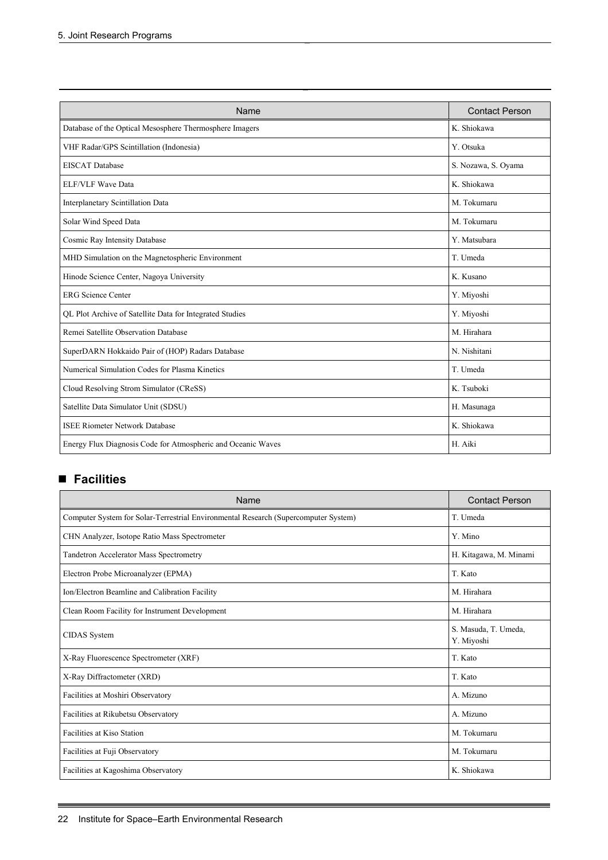| Name                                                         | <b>Contact Person</b> |
|--------------------------------------------------------------|-----------------------|
| Database of the Optical Mesosphere Thermosphere Imagers      | K. Shiokawa           |
| VHF Radar/GPS Scintillation (Indonesia)                      | Y. Otsuka             |
| <b>EISCAT</b> Database                                       | S. Nozawa, S. Oyama   |
| <b>ELF/VLF Wave Data</b>                                     | K. Shiokawa           |
| Interplanetary Scintillation Data                            | M. Tokumaru           |
| Solar Wind Speed Data                                        | M. Tokumaru           |
| Cosmic Ray Intensity Database                                | Y. Matsubara          |
| MHD Simulation on the Magnetospheric Environment             | T. Umeda              |
| Hinode Science Center, Nagoya University                     | K. Kusano             |
| <b>ERG</b> Science Center                                    | Y. Miyoshi            |
| QL Plot Archive of Satellite Data for Integrated Studies     | Y. Miyoshi            |
| Remei Satellite Observation Database                         | M. Hirahara           |
| SuperDARN Hokkaido Pair of (HOP) Radars Database             | N. Nishitani          |
| Numerical Simulation Codes for Plasma Kinetics               | T. Umeda              |
| Cloud Resolving Strom Simulator (CReSS)                      | K. Tsuboki            |
| Satellite Data Simulator Unit (SDSU)                         | H. Masunaga           |
| <b>ISEE Riometer Network Database</b>                        | K. Shiokawa           |
| Energy Flux Diagnosis Code for Atmospheric and Oceanic Waves | H. Aiki               |

# **Facilities**

| Name                                                                                | <b>Contact Person</b>              |
|-------------------------------------------------------------------------------------|------------------------------------|
| Computer System for Solar-Terrestrial Environmental Research (Supercomputer System) | T. Umeda                           |
| CHN Analyzer, Isotope Ratio Mass Spectrometer                                       | Y. Mino                            |
| Tandetron Accelerator Mass Spectrometry                                             | H. Kitagawa, M. Minami             |
| Electron Probe Microanalyzer (EPMA)                                                 | T. Kato                            |
| Ion/Electron Beamline and Calibration Facility                                      | M. Hirahara                        |
| Clean Room Facility for Instrument Development                                      | M. Hirahara                        |
| <b>CIDAS</b> System                                                                 | S. Masuda, T. Umeda,<br>Y. Miyoshi |
| X-Ray Fluorescence Spectrometer (XRF)                                               | T. Kato                            |
| X-Ray Diffractometer (XRD)                                                          | T. Kato                            |
| Facilities at Moshiri Observatory                                                   | A. Mizuno                          |
| Facilities at Rikubetsu Observatory                                                 | A. Mizuno                          |
| Facilities at Kiso Station                                                          | M. Tokumaru                        |
| Facilities at Fuji Observatory                                                      | M. Tokumaru                        |
| Facilities at Kagoshima Observatory                                                 | K. Shiokawa                        |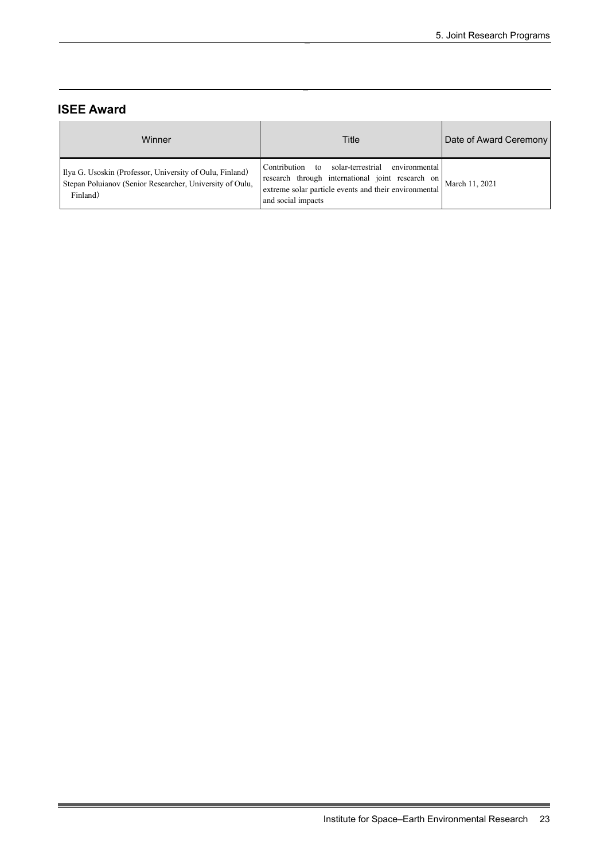# **ISEE Award**

| Winner                                                                                                                           | Title                                                                                                                                                                                                   | Date of Award Ceremony |
|----------------------------------------------------------------------------------------------------------------------------------|---------------------------------------------------------------------------------------------------------------------------------------------------------------------------------------------------------|------------------------|
| Ilya G. Usoskin (Professor, University of Oulu, Finland)<br>Stepan Poluianov (Senior Researcher, University of Oulu,<br>Finland) | solar-terrestrial<br>environmental<br>Contribution to<br>research through international joint research on March 11, 2021<br>extreme solar particle events and their environmental<br>and social impacts |                        |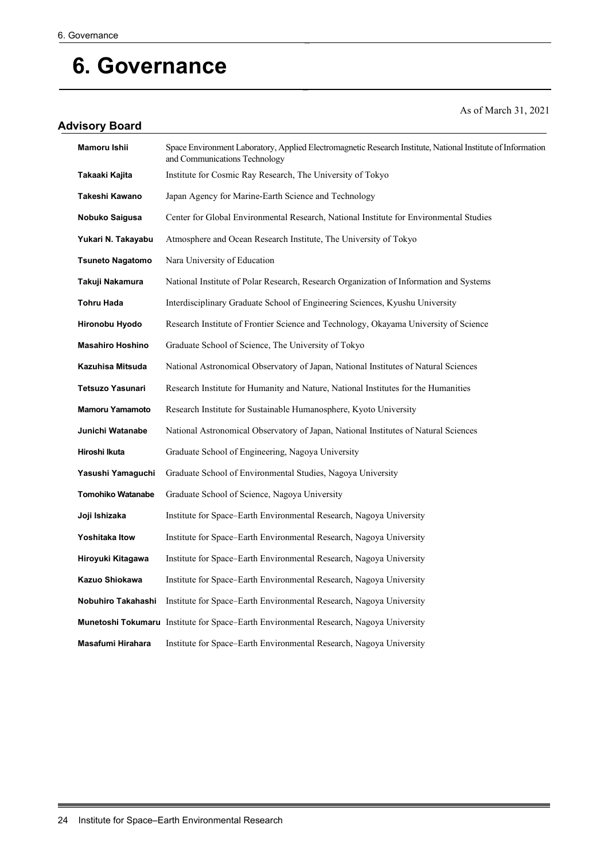# **6. Governance**

# **Advisory Board**

As of March 31, 2021

| Mamoru Ishii             | Space Environment Laboratory, Applied Electromagnetic Research Institute, National Institute of Information<br>and Communications Technology |
|--------------------------|----------------------------------------------------------------------------------------------------------------------------------------------|
| Takaaki Kajita           | Institute for Cosmic Ray Research, The University of Tokyo                                                                                   |
| Takeshi Kawano           | Japan Agency for Marine-Earth Science and Technology                                                                                         |
| Nobuko Saigusa           | Center for Global Environmental Research, National Institute for Environmental Studies                                                       |
| Yukari N. Takayabu       | Atmosphere and Ocean Research Institute, The University of Tokyo                                                                             |
| <b>Tsuneto Nagatomo</b>  | Nara University of Education                                                                                                                 |
| Takuji Nakamura          | National Institute of Polar Research, Research Organization of Information and Systems                                                       |
| Tohru Hada               | Interdisciplinary Graduate School of Engineering Sciences, Kyushu University                                                                 |
| Hironobu Hyodo           | Research Institute of Frontier Science and Technology, Okayama University of Science                                                         |
| <b>Masahiro Hoshino</b>  | Graduate School of Science, The University of Tokyo                                                                                          |
| Kazuhisa Mitsuda         | National Astronomical Observatory of Japan, National Institutes of Natural Sciences                                                          |
| <b>Tetsuzo Yasunari</b>  | Research Institute for Humanity and Nature, National Institutes for the Humanities                                                           |
| <b>Mamoru Yamamoto</b>   | Research Institute for Sustainable Humanosphere, Kyoto University                                                                            |
| Junichi Watanabe         | National Astronomical Observatory of Japan, National Institutes of Natural Sciences                                                          |
| Hiroshi Ikuta            | Graduate School of Engineering, Nagoya University                                                                                            |
| Yasushi Yamaguchi        | Graduate School of Environmental Studies, Nagoya University                                                                                  |
| <b>Tomohiko Watanabe</b> | Graduate School of Science, Nagoya University                                                                                                |
| Joji Ishizaka            | Institute for Space–Earth Environmental Research, Nagoya University                                                                          |
| <b>Yoshitaka Itow</b>    | Institute for Space-Earth Environmental Research, Nagoya University                                                                          |
| Hiroyuki Kitagawa        | Institute for Space–Earth Environmental Research, Nagoya University                                                                          |
| Kazuo Shiokawa           | Institute for Space-Earth Environmental Research, Nagoya University                                                                          |
| Nobuhiro Takahashi       | Institute for Space–Earth Environmental Research, Nagoya University                                                                          |
|                          | <b>Munetoshi Tokumaru</b> Institute for Space–Earth Environmental Research, Nagoya University                                                |
| Masafumi Hirahara        | Institute for Space-Earth Environmental Research, Nagoya University                                                                          |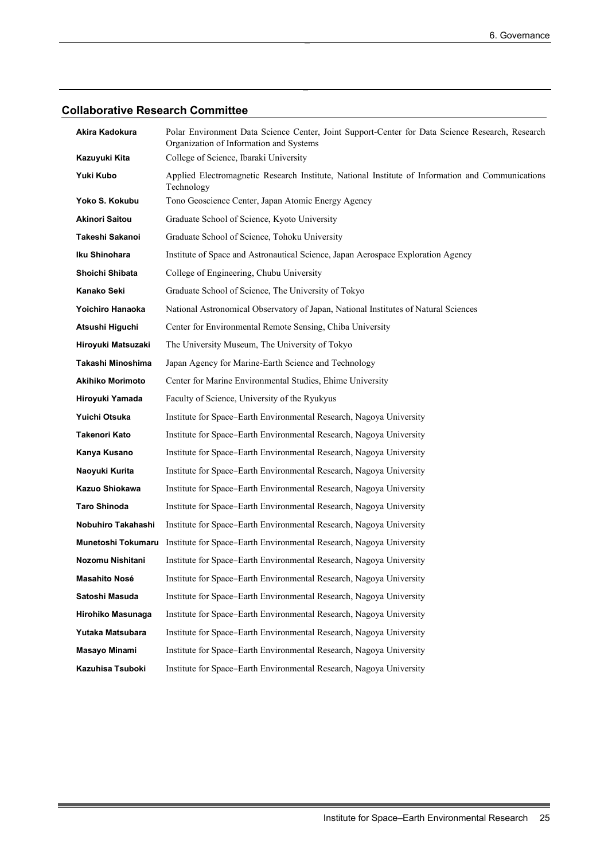# **Collaborative Research Committee**

| Akira Kadokura          | Polar Environment Data Science Center, Joint Support-Center for Data Science Research, Research<br>Organization of Information and Systems |
|-------------------------|--------------------------------------------------------------------------------------------------------------------------------------------|
| Kazuyuki Kita           | College of Science, Ibaraki University                                                                                                     |
| Yuki Kubo               | Applied Electromagnetic Research Institute, National Institute of Information and Communications<br>Technology                             |
| Yoko S. Kokubu          | Tono Geoscience Center, Japan Atomic Energy Agency                                                                                         |
| <b>Akinori Saitou</b>   | Graduate School of Science, Kyoto University                                                                                               |
| Takeshi Sakanoi         | Graduate School of Science, Tohoku University                                                                                              |
| Iku Shinohara           | Institute of Space and Astronautical Science, Japan Aerospace Exploration Agency                                                           |
| Shoichi Shibata         | College of Engineering, Chubu University                                                                                                   |
| Kanako Seki             | Graduate School of Science, The University of Tokyo                                                                                        |
| Yoichiro Hanaoka        | National Astronomical Observatory of Japan, National Institutes of Natural Sciences                                                        |
| Atsushi Higuchi         | Center for Environmental Remote Sensing, Chiba University                                                                                  |
| Hiroyuki Matsuzaki      | The University Museum, The University of Tokyo                                                                                             |
| Takashi Minoshima       | Japan Agency for Marine-Earth Science and Technology                                                                                       |
| <b>Akihiko Morimoto</b> | Center for Marine Environmental Studies, Ehime University                                                                                  |
| Hiroyuki Yamada         | Faculty of Science, University of the Ryukyus                                                                                              |
| Yuichi Otsuka           | Institute for Space-Earth Environmental Research, Nagoya University                                                                        |
| Takenori Kato           | Institute for Space-Earth Environmental Research, Nagoya University                                                                        |
| Kanya Kusano            | Institute for Space-Earth Environmental Research, Nagoya University                                                                        |
| Naoyuki Kurita          | Institute for Space-Earth Environmental Research, Nagoya University                                                                        |
| Kazuo Shiokawa          | Institute for Space-Earth Environmental Research, Nagoya University                                                                        |
| <b>Taro Shinoda</b>     | Institute for Space-Earth Environmental Research, Nagoya University                                                                        |
| Nobuhiro Takahashi      | Institute for Space-Earth Environmental Research, Nagoya University                                                                        |
| Munetoshi Tokumaru      | Institute for Space-Earth Environmental Research, Nagoya University                                                                        |
| Nozomu Nishitani        | Institute for Space-Earth Environmental Research, Nagoya University                                                                        |
| Masahito Nosé           | Institute for Space-Earth Environmental Research, Nagoya University                                                                        |
| Satoshi Masuda          | Institute for Space-Earth Environmental Research, Nagoya University                                                                        |
| Hirohiko Masunaga       | Institute for Space-Earth Environmental Research, Nagoya University                                                                        |
| Yutaka Matsubara        | Institute for Space-Earth Environmental Research, Nagoya University                                                                        |
| Masayo Minami           | Institute for Space-Earth Environmental Research, Nagoya University                                                                        |
| Kazuhisa Tsuboki        | Institute for Space-Earth Environmental Research, Nagoya University                                                                        |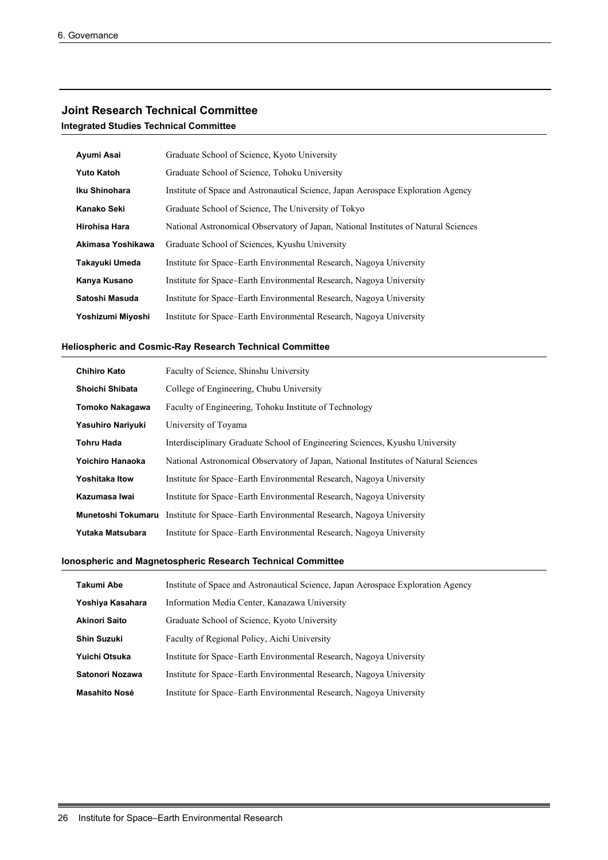#### **Joint Research Technical Committee**

**Integrated Studies Technical Committee**

| Ayumi Asai           | Graduate School of Science, Kyoto University                                        |
|----------------------|-------------------------------------------------------------------------------------|
| <b>Yuto Katoh</b>    | Graduate School of Science, Tohoku University                                       |
| Iku Shinohara        | Institute of Space and Astronautical Science, Japan Aerospace Exploration Agency    |
| Kanako Seki          | Graduate School of Science, The University of Tokyo                                 |
| <b>Hirohisa Hara</b> | National Astronomical Observatory of Japan, National Institutes of Natural Sciences |
| Akimasa Yoshikawa    | Graduate School of Sciences, Kyushu University                                      |
| Takayuki Umeda       | Institute for Space–Earth Environmental Research, Nagoya University                 |
| Kanya Kusano         | Institute for Space–Earth Environmental Research, Nagoya University                 |
| Satoshi Masuda       | Institute for Space–Earth Environmental Research, Nagoya University                 |
| Yoshizumi Miyoshi    | Institute for Space–Earth Environmental Research, Nagoya University                 |

#### **Heliospheric and Cosmic-Ray Research Technical Committee**

| <b>Chihiro Kato</b>   | Faculty of Science, Shinshu University                                              |
|-----------------------|-------------------------------------------------------------------------------------|
| Shoichi Shibata       | College of Engineering, Chubu University                                            |
| Tomoko Nakagawa       | Faculty of Engineering, Tohoku Institute of Technology                              |
| Yasuhiro Nariyuki     | University of Toyama                                                                |
| <b>Tohru Hada</b>     | Interdisciplinary Graduate School of Engineering Sciences, Kyushu University        |
| Yoichiro Hanaoka      | National Astronomical Observatory of Japan, National Institutes of Natural Sciences |
| <b>Yoshitaka Itow</b> | Institute for Space–Earth Environmental Research, Nagoya University                 |
| Kazumasa Iwai         | Institute for Space–Earth Environmental Research, Nagoya University                 |
| Munetoshi Tokumaru    | Institute for Space–Earth Environmental Research, Nagoya University                 |
| Yutaka Matsubara      | Institute for Space–Earth Environmental Research, Nagoya University                 |

#### **Ionospheric and Magnetospheric Research Technical Committee**

| Takumi Abe           | Institute of Space and Astronautical Science, Japan Aerospace Exploration Agency |
|----------------------|----------------------------------------------------------------------------------|
| Yoshiya Kasahara     | Information Media Center, Kanazawa University                                    |
| <b>Akinori Saito</b> | Graduate School of Science, Kyoto University                                     |
| <b>Shin Suzuki</b>   | Faculty of Regional Policy, Aichi University                                     |
| Yuichi Otsuka        | Institute for Space–Earth Environmental Research, Nagoya University              |
| Satonori Nozawa      | Institute for Space–Earth Environmental Research, Nagoya University              |
| <b>Masahito Nosé</b> | Institute for Space–Earth Environmental Research, Nagoya University              |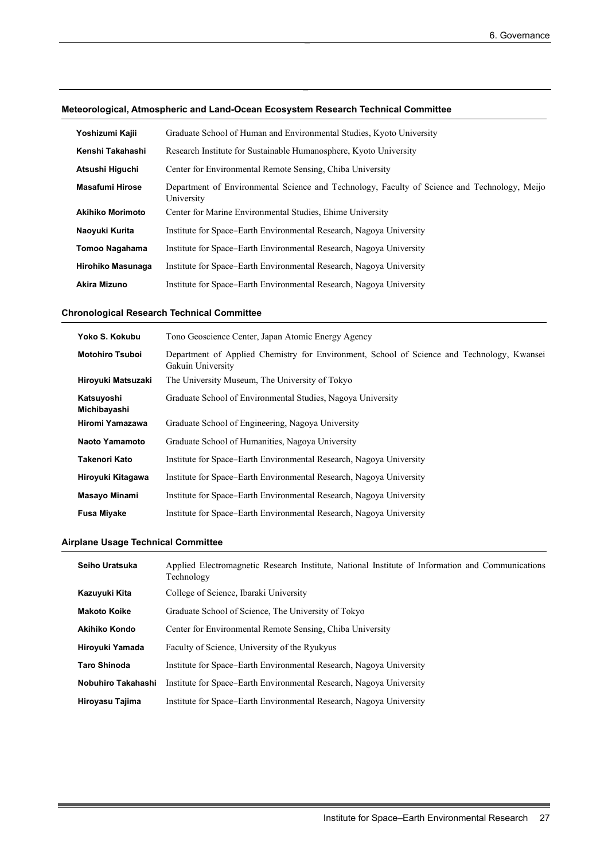|  |  | Meteorological, Atmospheric and Land-Ocean Ecosystem Research Technical Committee |
|--|--|-----------------------------------------------------------------------------------|
|--|--|-----------------------------------------------------------------------------------|

| Yoshizumi Kajii         | Graduate School of Human and Environmental Studies, Kyoto University                                       |
|-------------------------|------------------------------------------------------------------------------------------------------------|
| Kenshi Takahashi        | Research Institute for Sustainable Humanosphere, Kyoto University                                          |
| Atsushi Higuchi         | Center for Environmental Remote Sensing, Chiba University                                                  |
| <b>Masafumi Hirose</b>  | Department of Environmental Science and Technology, Faculty of Science and Technology, Meijo<br>University |
| <b>Akihiko Morimoto</b> | Center for Marine Environmental Studies, Ehime University                                                  |
| Naoyuki Kurita          | Institute for Space–Earth Environmental Research, Nagoya University                                        |
| Tomoo Nagahama          | Institute for Space–Earth Environmental Research, Nagoya University                                        |
| Hirohiko Masunaga       | Institute for Space–Earth Environmental Research, Nagoya University                                        |
| Akira Mizuno            | Institute for Space–Earth Environmental Research, Nagoya University                                        |

### **Chronological Research Technical Committee**

| Yoko S. Kokubu             | Tono Geoscience Center, Japan Atomic Energy Agency                                                              |
|----------------------------|-----------------------------------------------------------------------------------------------------------------|
| <b>Motohiro Tsuboi</b>     | Department of Applied Chemistry for Environment, School of Science and Technology, Kwansei<br>Gakuin University |
| Hiroyuki Matsuzaki         | The University Museum, The University of Tokyo                                                                  |
| Katsuyoshi<br>Michibayashi | Graduate School of Environmental Studies, Nagoya University                                                     |
| Hiromi Yamazawa            | Graduate School of Engineering, Nagoya University                                                               |
| <b>Naoto Yamamoto</b>      | Graduate School of Humanities, Nagoya University                                                                |
| Takenori Kato              | Institute for Space-Earth Environmental Research, Nagoya University                                             |
| Hiroyuki Kitagawa          | Institute for Space-Earth Environmental Research, Nagoya University                                             |
| Masayo Minami              | Institute for Space–Earth Environmental Research, Nagoya University                                             |
| <b>Fusa Miyake</b>         | Institute for Space–Earth Environmental Research, Nagoya University                                             |

#### **Airplane Usage Technical Committee**

| Seiho Uratsuka      | Applied Electromagnetic Research Institute, National Institute of Information and Communications<br>Technology |
|---------------------|----------------------------------------------------------------------------------------------------------------|
| Kazuyuki Kita       | College of Science, Ibaraki University                                                                         |
| <b>Makoto Koike</b> | Graduate School of Science, The University of Tokyo                                                            |
| Akihiko Kondo       | Center for Environmental Remote Sensing, Chiba University                                                      |
| Hiroyuki Yamada     | Faculty of Science, University of the Ryukyus                                                                  |
| <b>Taro Shinoda</b> | Institute for Space–Earth Environmental Research, Nagoya University                                            |
| Nobuhiro Takahashi  | Institute for Space–Earth Environmental Research, Nagoya University                                            |
| Hiroyasu Tajima     | Institute for Space–Earth Environmental Research, Nagoya University                                            |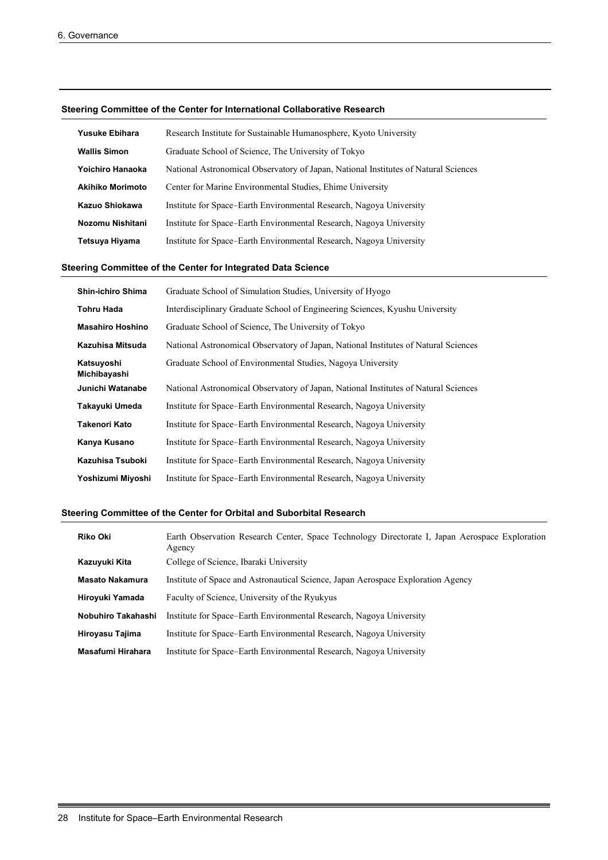#### **Steering Committee of the Center for International Collaborative Research**

| <b>Yusuke Ebihara</b>   | Research Institute for Sustainable Humanosphere, Kyoto University                   |
|-------------------------|-------------------------------------------------------------------------------------|
| <b>Wallis Simon</b>     | Graduate School of Science, The University of Tokyo                                 |
| Yoichiro Hanaoka        | National Astronomical Observatory of Japan, National Institutes of Natural Sciences |
| <b>Akihiko Morimoto</b> | Center for Marine Environmental Studies, Ehime University                           |
| Kazuo Shiokawa          | Institute for Space–Earth Environmental Research, Nagoya University                 |
| Nozomu Nishitani        | Institute for Space–Earth Environmental Research, Nagoya University                 |
| Tetsuya Hiyama          | Institute for Space–Earth Environmental Research, Nagoya University                 |

#### **Steering Committee of the Center for Integrated Data Science**

| <b>Shin-ichiro Shima</b>   | Graduate School of Simulation Studies, University of Hyogo                          |
|----------------------------|-------------------------------------------------------------------------------------|
| Tohru Hada                 | Interdisciplinary Graduate School of Engineering Sciences, Kyushu University        |
| <b>Masahiro Hoshino</b>    | Graduate School of Science, The University of Tokyo                                 |
| Kazuhisa Mitsuda           | National Astronomical Observatory of Japan, National Institutes of Natural Sciences |
| Katsuyoshi<br>Michibayashi | Graduate School of Environmental Studies, Nagoya University                         |
| Junichi Watanabe           | National Astronomical Observatory of Japan, National Institutes of Natural Sciences |
| Takayuki Umeda             | Institute for Space–Earth Environmental Research, Nagoya University                 |
| <b>Takenori Kato</b>       | Institute for Space–Earth Environmental Research, Nagoya University                 |
| Kanya Kusano               | Institute for Space–Earth Environmental Research, Nagoya University                 |
| Kazuhisa Tsuboki           | Institute for Space–Earth Environmental Research, Nagoya University                 |
| Yoshizumi Miyoshi          | Institute for Space–Earth Environmental Research, Nagoya University                 |

#### **Steering Committee of the Center for Orbital and Suborbital Research**

| <b>Riko Oki</b>        | Earth Observation Research Center, Space Technology Directorate I, Japan Aerospace Exploration<br>Agency |
|------------------------|----------------------------------------------------------------------------------------------------------|
| Kazuyuki Kita          | College of Science, Ibaraki University                                                                   |
| <b>Masato Nakamura</b> | Institute of Space and Astronautical Science, Japan Aerospace Exploration Agency                         |
| Hiroyuki Yamada        | Faculty of Science, University of the Ryukyus                                                            |
| Nobuhiro Takahashi     | Institute for Space–Earth Environmental Research, Nagoya University                                      |
| Hiroyasu Tajima        | Institute for Space–Earth Environmental Research, Nagoya University                                      |
| Masafumi Hirahara      | Institute for Space–Earth Environmental Research, Nagoya University                                      |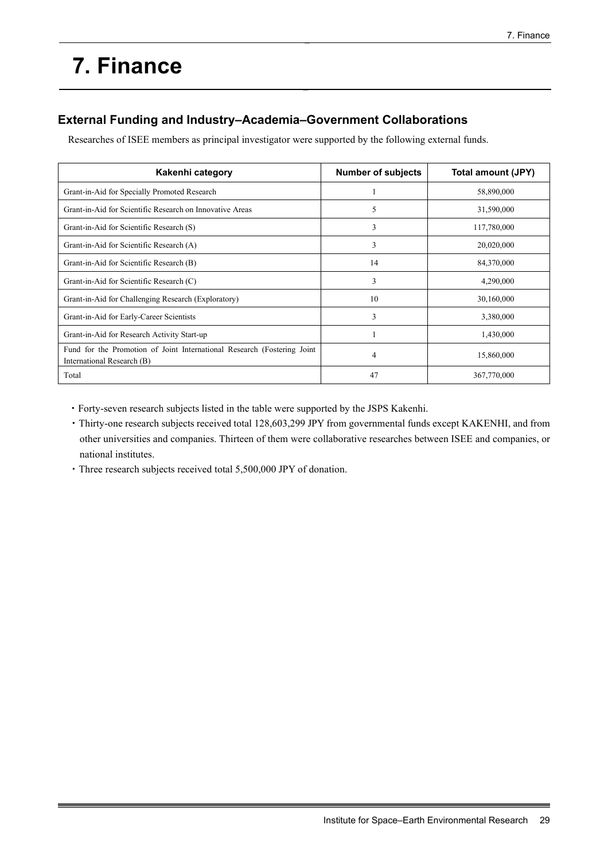# **7. Finance**

# **External Funding and Industry–Academia–Government Collaborations**

Researches of ISEE members as principal investigator were supported by the following external funds.

| Kakenhi category                                                                                      | <b>Number of subjects</b> | Total amount (JPY) |
|-------------------------------------------------------------------------------------------------------|---------------------------|--------------------|
| Grant-in-Aid for Specially Promoted Research                                                          |                           | 58,890,000         |
| Grant-in-Aid for Scientific Research on Innovative Areas                                              | 5                         | 31,590,000         |
| Grant-in-Aid for Scientific Research (S)                                                              | 3                         | 117,780,000        |
| Grant-in-Aid for Scientific Research (A)                                                              | 3                         | 20,020,000         |
| Grant-in-Aid for Scientific Research (B)                                                              | 14                        | 84,370,000         |
| Grant-in-Aid for Scientific Research (C)                                                              | 3                         | 4,290,000          |
| Grant-in-Aid for Challenging Research (Exploratory)                                                   | 10                        | 30,160,000         |
| Grant-in-Aid for Early-Career Scientists                                                              | 3                         | 3,380,000          |
| Grant-in-Aid for Research Activity Start-up                                                           |                           | 1,430,000          |
| Fund for the Promotion of Joint International Research (Fostering Joint<br>International Research (B) | 4                         | 15,860,000         |
| Total                                                                                                 | 47                        | 367,770,000        |

・Forty-seven research subjects listed in the table were supported by the JSPS Kakenhi.

- ・Thirty-one research subjects received total 128,603,299 JPY from governmental funds except KAKENHI, and from other universities and companies. Thirteen of them were collaborative researches between ISEE and companies, or national institutes.
- ・Three research subjects received total 5,500,000 JPY of donation.